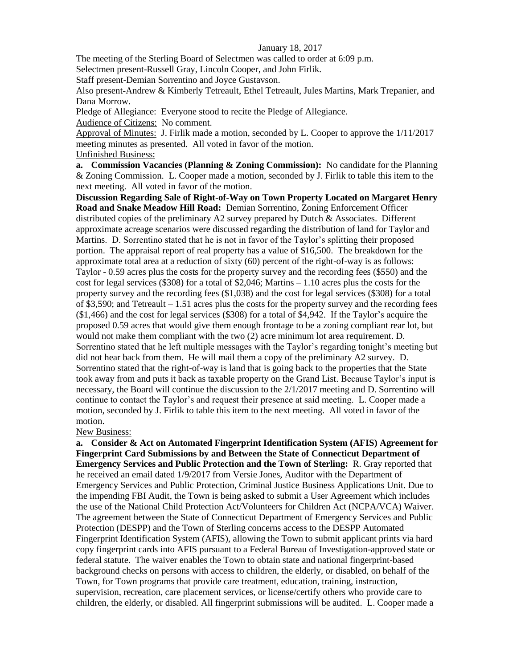#### January 18, 2017

The meeting of the Sterling Board of Selectmen was called to order at 6:09 p.m.

Selectmen present-Russell Gray, Lincoln Cooper, and John Firlik.

Staff present-Demian Sorrentino and Joyce Gustavson.

Also present-Andrew & Kimberly Tetreault, Ethel Tetreault, Jules Martins, Mark Trepanier, and Dana Morrow.

Pledge of Allegiance: Everyone stood to recite the Pledge of Allegiance.

Audience of Citizens: No comment.

Approval of Minutes: J. Firlik made a motion, seconded by L. Cooper to approve the 1/11/2017 meeting minutes as presented. All voted in favor of the motion. Unfinished Business:

**a. Commission Vacancies (Planning & Zoning Commission):** No candidate for the Planning & Zoning Commission. L. Cooper made a motion, seconded by J. Firlik to table this item to the next meeting. All voted in favor of the motion.

**Discussion Regarding Sale of Right-of-Way on Town Property Located on Margaret Henry Road and Snake Meadow Hill Road:** Demian Sorrentino, Zoning Enforcement Officer distributed copies of the preliminary A2 survey prepared by Dutch & Associates. Different approximate acreage scenarios were discussed regarding the distribution of land for Taylor and Martins. D. Sorrentino stated that he is not in favor of the Taylor's splitting their proposed portion. The appraisal report of real property has a value of \$16,500. The breakdown for the approximate total area at a reduction of sixty (60) percent of the right-of-way is as follows: Taylor - 0.59 acres plus the costs for the property survey and the recording fees (\$550) and the cost for legal services (\$308) for a total of \$2,046; Martins – 1.10 acres plus the costs for the property survey and the recording fees (\$1,038) and the cost for legal services (\$308) for a total of \$3,590; and Tetreault – 1.51 acres plus the costs for the property survey and the recording fees (\$1,466) and the cost for legal services (\$308) for a total of \$4,942. If the Taylor's acquire the proposed 0.59 acres that would give them enough frontage to be a zoning compliant rear lot, but would not make them compliant with the two (2) acre minimum lot area requirement. D. Sorrentino stated that he left multiple messages with the Taylor's regarding tonight's meeting but did not hear back from them. He will mail them a copy of the preliminary A2 survey. D. Sorrentino stated that the right-of-way is land that is going back to the properties that the State took away from and puts it back as taxable property on the Grand List. Because Taylor's input is necessary, the Board will continue the discussion to the 2/1/2017 meeting and D. Sorrentino will continue to contact the Taylor's and request their presence at said meeting. L. Cooper made a motion, seconded by J. Firlik to table this item to the next meeting. All voted in favor of the motion.

### New Business:

**a. Consider & Act on Automated Fingerprint Identification System (AFIS) Agreement for Fingerprint Card Submissions by and Between the State of Connecticut Department of Emergency Services and Public Protection and the Town of Sterling:** R. Gray reported that he received an email dated 1/9/2017 from Versie Jones, Auditor with the Department of Emergency Services and Public Protection, Criminal Justice Business Applications Unit. Due to the impending FBI Audit, the Town is being asked to submit a User Agreement which includes the use of the National Child Protection Act/Volunteers for Children Act (NCPA/VCA) Waiver. The agreement between the State of Connecticut Department of Emergency Services and Public Protection (DESPP) and the Town of Sterling concerns access to the DESPP Automated Fingerprint Identification System (AFIS), allowing the Town to submit applicant prints via hard copy fingerprint cards into AFIS pursuant to a Federal Bureau of Investigation-approved state or federal statute. The waiver enables the Town to obtain state and national fingerprint-based background checks on persons with access to children, the elderly, or disabled, on behalf of the Town, for Town programs that provide care treatment, education, training, instruction, supervision, recreation, care placement services, or license/certify others who provide care to children, the elderly, or disabled. All fingerprint submissions will be audited. L. Cooper made a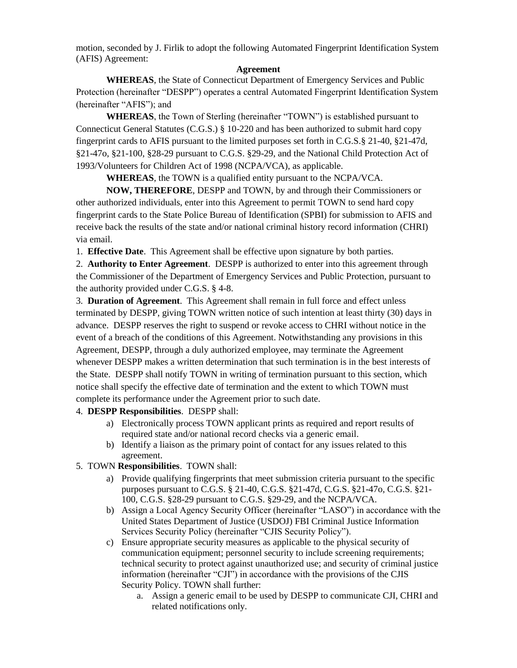motion, seconded by J. Firlik to adopt the following Automated Fingerprint Identification System (AFIS) Agreement:

## **Agreement**

**WHEREAS**, the State of Connecticut Department of Emergency Services and Public Protection (hereinafter "DESPP") operates a central Automated Fingerprint Identification System (hereinafter "AFIS"); and

**WHEREAS**, the Town of Sterling (hereinafter "TOWN") is established pursuant to Connecticut General Statutes (C.G.S.) § 10-220 and has been authorized to submit hard copy fingerprint cards to AFIS pursuant to the limited purposes set forth in C.G.S.§ 21-40, §21-47d, §21-47o, §21-100, §28-29 pursuant to C.G.S. §29-29, and the National Child Protection Act of 1993/Volunteers for Children Act of 1998 (NCPA/VCA), as applicable.

**WHEREAS**, the TOWN is a qualified entity pursuant to the NCPA/VCA.

**NOW, THEREFORE**, DESPP and TOWN, by and through their Commissioners or other authorized individuals, enter into this Agreement to permit TOWN to send hard copy fingerprint cards to the State Police Bureau of Identification (SPBI) for submission to AFIS and receive back the results of the state and/or national criminal history record information (CHRI) via email.

1. **Effective Date**. This Agreement shall be effective upon signature by both parties.

2. **Authority to Enter Agreement**. DESPP is authorized to enter into this agreement through the Commissioner of the Department of Emergency Services and Public Protection, pursuant to the authority provided under C.G.S. § 4-8.

3. **Duration of Agreement**. This Agreement shall remain in full force and effect unless terminated by DESPP, giving TOWN written notice of such intention at least thirty (30) days in advance. DESPP reserves the right to suspend or revoke access to CHRI without notice in the event of a breach of the conditions of this Agreement. Notwithstanding any provisions in this Agreement, DESPP, through a duly authorized employee, may terminate the Agreement whenever DESPP makes a written determination that such termination is in the best interests of the State. DESPP shall notify TOWN in writing of termination pursuant to this section, which notice shall specify the effective date of termination and the extent to which TOWN must complete its performance under the Agreement prior to such date.

### 4. **DESPP Responsibilities**. DESPP shall:

- a) Electronically process TOWN applicant prints as required and report results of required state and/or national record checks via a generic email.
- b) Identify a liaison as the primary point of contact for any issues related to this agreement.

# 5. TOWN **Responsibilities**. TOWN shall:

- a) Provide qualifying fingerprints that meet submission criteria pursuant to the specific purposes pursuant to C.G.S. § 21-40, C.G.S. §21-47d, C.G.S. §21-47o, C.G.S. §21- 100, C.G.S. §28-29 pursuant to C.G.S. §29-29, and the NCPA/VCA.
- b) Assign a Local Agency Security Officer (hereinafter "LASO") in accordance with the United States Department of Justice (USDOJ) FBI Criminal Justice Information Services Security Policy (hereinafter "CJIS Security Policy").
- c) Ensure appropriate security measures as applicable to the physical security of communication equipment; personnel security to include screening requirements; technical security to protect against unauthorized use; and security of criminal justice information (hereinafter "CJI") in accordance with the provisions of the CJIS Security Policy. TOWN shall further:
	- a. Assign a generic email to be used by DESPP to communicate CJI, CHRI and related notifications only.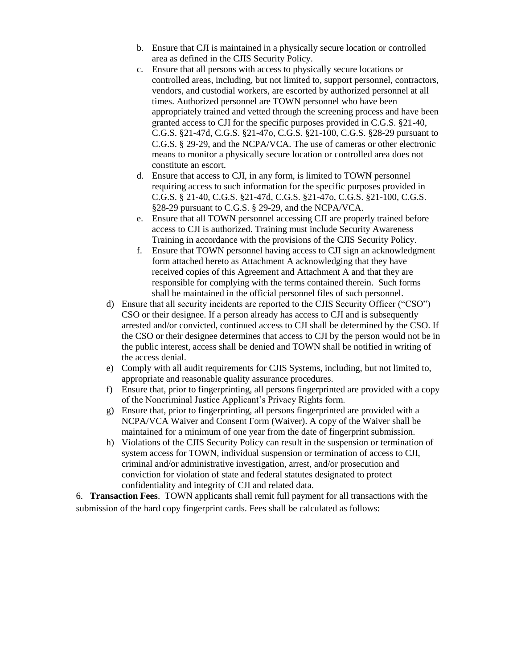- b. Ensure that CJI is maintained in a physically secure location or controlled area as defined in the CJIS Security Policy.
- c. Ensure that all persons with access to physically secure locations or controlled areas, including, but not limited to, support personnel, contractors, vendors, and custodial workers, are escorted by authorized personnel at all times. Authorized personnel are TOWN personnel who have been appropriately trained and vetted through the screening process and have been granted access to CJI for the specific purposes provided in C.G.S. §21-40, C.G.S. §21-47d, C.G.S. §21-47o, C.G.S. §21-100, C.G.S. §28-29 pursuant to C.G.S. § 29-29, and the NCPA/VCA. The use of cameras or other electronic means to monitor a physically secure location or controlled area does not constitute an escort.
- d. Ensure that access to CJI, in any form, is limited to TOWN personnel requiring access to such information for the specific purposes provided in C.G.S. § 21-40, C.G.S. §21-47d, C.G.S. §21-47o, C.G.S. §21-100, C.G.S. §28-29 pursuant to C.G.S. § 29-29, and the NCPA/VCA.
- e. Ensure that all TOWN personnel accessing CJI are properly trained before access to CJI is authorized. Training must include Security Awareness Training in accordance with the provisions of the CJIS Security Policy.
- f. Ensure that TOWN personnel having access to CJI sign an acknowledgment form attached hereto as Attachment A acknowledging that they have received copies of this Agreement and Attachment A and that they are responsible for complying with the terms contained therein. Such forms shall be maintained in the official personnel files of such personnel.
- d) Ensure that all security incidents are reported to the CJIS Security Officer ("CSO") CSO or their designee. If a person already has access to CJI and is subsequently arrested and/or convicted, continued access to CJI shall be determined by the CSO. If the CSO or their designee determines that access to CJI by the person would not be in the public interest, access shall be denied and TOWN shall be notified in writing of the access denial.
- e) Comply with all audit requirements for CJIS Systems, including, but not limited to, appropriate and reasonable quality assurance procedures.
- f) Ensure that, prior to fingerprinting, all persons fingerprinted are provided with a copy of the Noncriminal Justice Applicant's Privacy Rights form.
- g) Ensure that, prior to fingerprinting, all persons fingerprinted are provided with a NCPA/VCA Waiver and Consent Form (Waiver). A copy of the Waiver shall be maintained for a minimum of one year from the date of fingerprint submission.
- h) Violations of the CJIS Security Policy can result in the suspension or termination of system access for TOWN, individual suspension or termination of access to CJI, criminal and/or administrative investigation, arrest, and/or prosecution and conviction for violation of state and federal statutes designated to protect confidentiality and integrity of CJI and related data.

6. **Transaction Fees**. TOWN applicants shall remit full payment for all transactions with the submission of the hard copy fingerprint cards. Fees shall be calculated as follows: